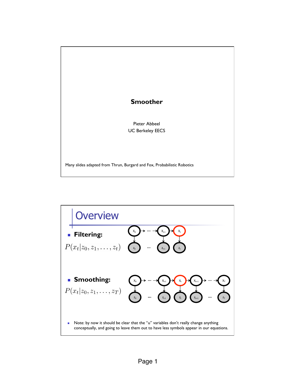

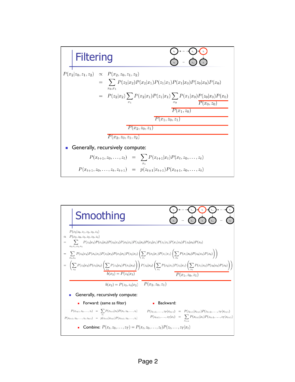

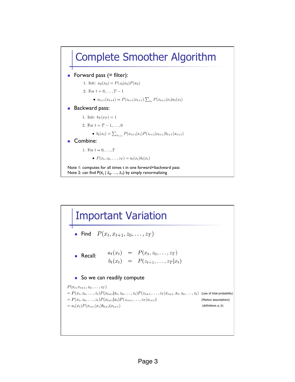

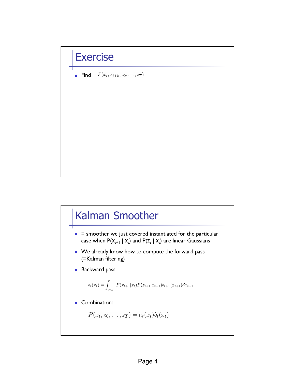## **Exercise**

 $P(x_t, x_{t+k}, z_0, \ldots, z_T)$ ! Find

## Kalman Smoother

- $\blacksquare$  = smoother we just covered instantiated for the particular case when  $P(X_{t+1} | X_t)$  and  $P(Z_t | X_t)$  are linear Gaussians
- **.** We already know how to compute the forward pass (=Kalman filtering)
- **Backward pass:**

$$
b_t(x_t) = \int_{x_{t+1}} P(x_{t+1}|x_t) P(z_{t+1}|x_{t+1}) b_{t+1}(x_{t+1}) dx_{t+1}
$$

## **Combination:**

 $P(x_t, z_0, \ldots, z_T) = a_t(x_t) b_t(x_t)$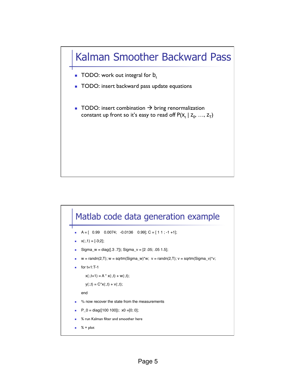## Kalman Smoother Backward Pass

- **TODO:** work out integral for  $b_t$
- **TODO:** insert backward pass update equations
- **TODO:** insert combination  $\rightarrow$  bring renormalization constant up front so it's easy to read off  $P(X_t | Z_0, ..., Z_T)$